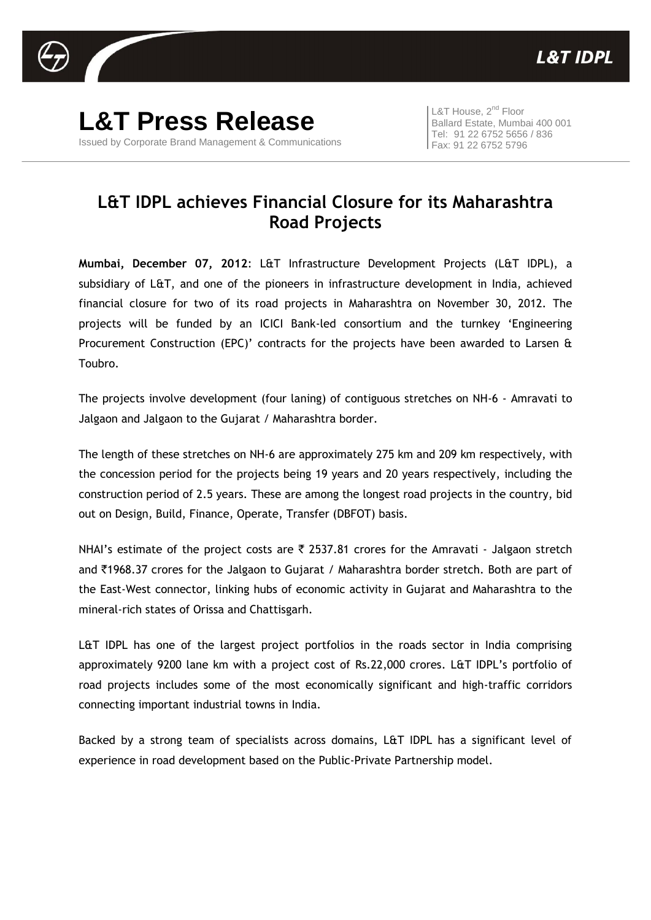

**L&T Press Release** Issued by Corporate Brand Management & Communications

L&T House, 2<sup>nd</sup> Floor Ballard Estate, Mumbai 400 001 Tel: 91 22 6752 5656 / 836 Fax: 91 22 6752 5796

## **L&T IDPL achieves Financial Closure for its Maharashtra Road Projects**

**Mumbai, December 07, 2012**: L&T Infrastructure Development Projects (L&T IDPL), a subsidiary of L&T, and one of the pioneers in infrastructure development in India, achieved financial closure for two of its road projects in Maharashtra on November 30, 2012. The projects will be funded by an ICICI Bank-led consortium and the turnkey 'Engineering Procurement Construction (EPC)' contracts for the projects have been awarded to Larsen & Toubro.

The projects involve development (four laning) of contiguous stretches on NH-6 - Amravati to Jalgaon and Jalgaon to the Gujarat / Maharashtra border.

The length of these stretches on NH-6 are approximately 275 km and 209 km respectively, with the concession period for the projects being 19 years and 20 years respectively, including the construction period of 2.5 years. These are among the longest road projects in the country, bid out on Design, Build, Finance, Operate, Transfer (DBFOT) basis.

NHAI's estimate of the project costs are  $\bar{\tau}$  2537.81 crores for the Amravati - Jalgaon stretch and `1968.37 crores for the Jalgaon to Gujarat / Maharashtra border stretch. Both are part of the East-West connector, linking hubs of economic activity in Gujarat and Maharashtra to the mineral-rich states of Orissa and Chattisgarh.

L&T IDPL has one of the largest project portfolios in the roads sector in India comprising approximately 9200 lane km with a project cost of Rs.22,000 crores. L&T IDPL's portfolio of road projects includes some of the most economically significant and high-traffic corridors connecting important industrial towns in India.

Backed by a strong team of specialists across domains, L&T IDPL has a significant level of experience in road development based on the Public-Private Partnership model.